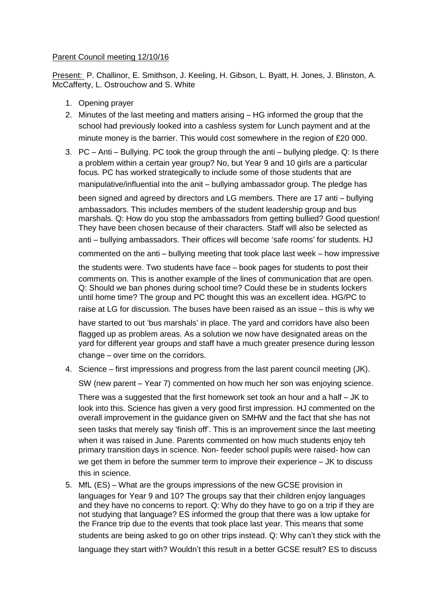## Parent Council meeting 12/10/16

Present: P. Challinor, E. Smithson, J. Keeling, H. Gibson, L. Byatt, H. Jones, J. Blinston, A. McCafferty, L. Ostrouchow and S. White

- 1. Opening prayer
- 2. Minutes of the last meeting and matters arising HG informed the group that the school had previously looked into a cashless system for Lunch payment and at the minute money is the barrier. This would cost somewhere in the region of £20 000.
- 3. PC Anti Bullying. PC took the group through the anti bullying pledge. Q: Is there a problem within a certain year group? No, but Year 9 and 10 girls are a particular focus. PC has worked strategically to include some of those students that are manipulative/influential into the anit – bullying ambassador group. The pledge has

been signed and agreed by directors and LG members. There are 17 anti – bullying ambassadors. This includes members of the student leadership group and bus marshals. Q: How do you stop the ambassadors from getting bullied? Good question! They have been chosen because of their characters. Staff will also be selected as anti – bullying ambassadors. Their offices will become 'safe rooms' for students. HJ

commented on the anti – bullying meeting that took place last week – how impressive

the students were. Two students have face – book pages for students to post their comments on. This is another example of the lines of communication that are open. Q: Should we ban phones during school time? Could these be in students lockers until home time? The group and PC thought this was an excellent idea. HG/PC to

raise at LG for discussion. The buses have been raised as an issue – this is why we

have started to out 'bus marshals' in place. The yard and corridors have also been flagged up as problem areas. As a solution we now have designated areas on the yard for different year groups and staff have a much greater presence during lesson change – over time on the corridors.

4. Science – first impressions and progress from the last parent council meeting (JK).

SW (new parent – Year 7) commented on how much her son was enjoying science.

There was a suggested that the first homework set took an hour and a half – JK to look into this. Science has given a very good first impression. HJ commented on the overall improvement in the guidance given on SMHW and the fact that she has not seen tasks that merely say 'finish off'. This is an improvement since the last meeting when it was raised in June. Parents commented on how much students enjoy teh primary transition days in science. Non- feeder school pupils were raised- how can we get them in before the summer term to improve their experience – JK to discuss this in science.

5. MfL (ES) – What are the groups impressions of the new GCSE provision in languages for Year 9 and 10? The groups say that their children enjoy languages and they have no concerns to report. Q: Why do they have to go on a trip if they are not studying that language? ES informed the group that there was a low uptake for the France trip due to the events that took place last year. This means that some students are being asked to go on other trips instead. Q: Why can't they stick with the language they start with? Wouldn't this result in a better GCSE result? ES to discuss